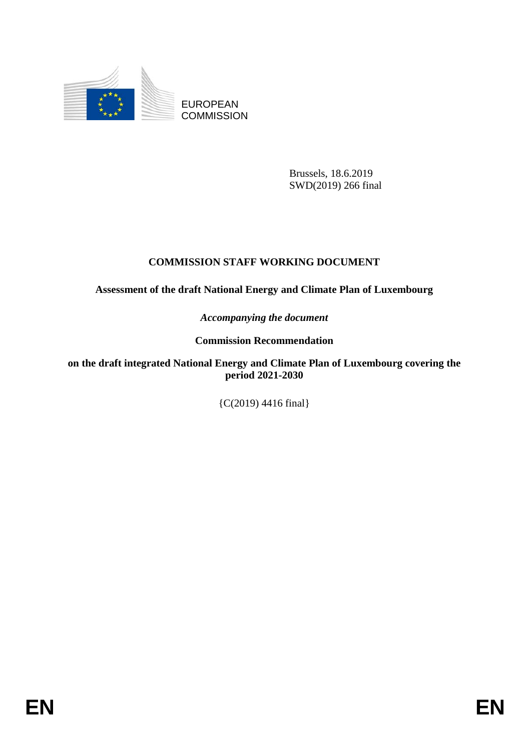

EUROPEAN **COMMISSION** 

> Brussels, 18.6.2019 SWD(2019) 266 final

# **COMMISSION STAFF WORKING DOCUMENT**

**Assessment of the draft National Energy and Climate Plan of Luxembourg**

*Accompanying the document*

**Commission Recommendation**

**on the draft integrated National Energy and Climate Plan of Luxembourg covering the period 2021-2030**

{C(2019) 4416 final}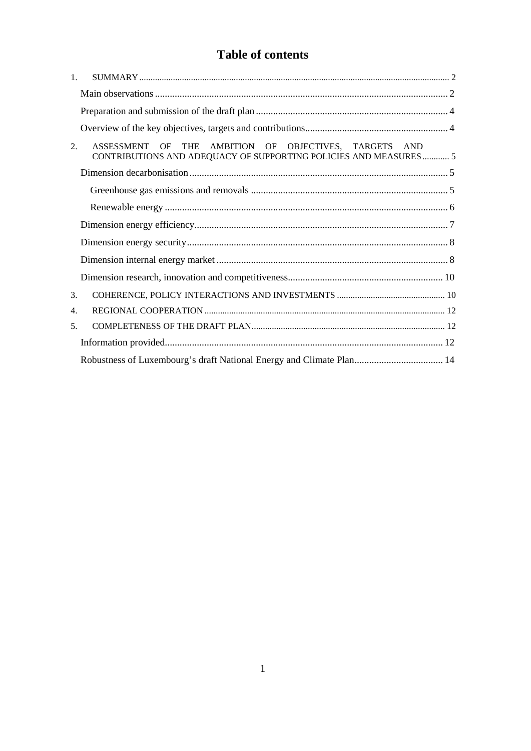# Table of contents

| $\mathbf{1}$ . |                                                                                                                           |  |  |  |  |  |  |
|----------------|---------------------------------------------------------------------------------------------------------------------------|--|--|--|--|--|--|
|                |                                                                                                                           |  |  |  |  |  |  |
|                |                                                                                                                           |  |  |  |  |  |  |
|                |                                                                                                                           |  |  |  |  |  |  |
| 2.             | ASSESSMENT OF THE AMBITION OF OBJECTIVES, TARGETS AND<br>CONTRIBUTIONS AND ADEQUACY OF SUPPORTING POLICIES AND MEASURES 5 |  |  |  |  |  |  |
|                |                                                                                                                           |  |  |  |  |  |  |
|                |                                                                                                                           |  |  |  |  |  |  |
|                |                                                                                                                           |  |  |  |  |  |  |
|                |                                                                                                                           |  |  |  |  |  |  |
|                |                                                                                                                           |  |  |  |  |  |  |
|                |                                                                                                                           |  |  |  |  |  |  |
|                |                                                                                                                           |  |  |  |  |  |  |
| 3.             |                                                                                                                           |  |  |  |  |  |  |
| 4.             |                                                                                                                           |  |  |  |  |  |  |
| 5 <sub>1</sub> |                                                                                                                           |  |  |  |  |  |  |
|                |                                                                                                                           |  |  |  |  |  |  |
|                | Robustness of Luxembourg's draft National Energy and Climate Plan 14                                                      |  |  |  |  |  |  |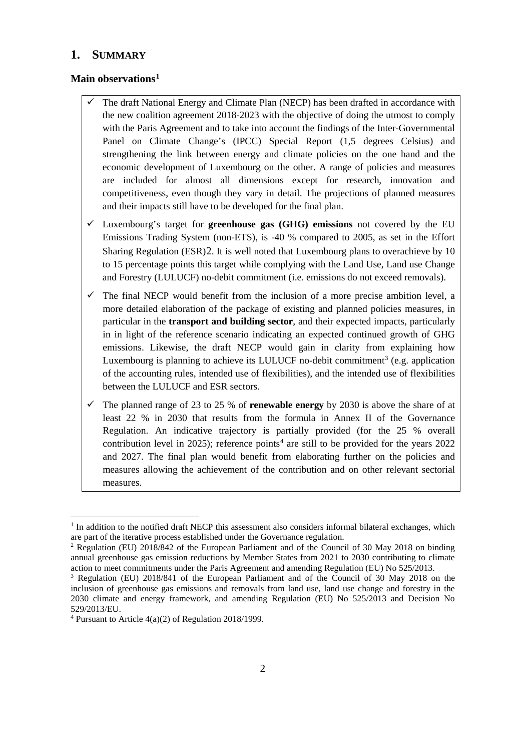## <span id="page-2-0"></span>**1. SUMMARY**

#### <span id="page-2-1"></span>**Main observations[1](#page-2-2)**

- The draft National Energy and Climate Plan (NECP) has been drafted in accordance with the new coalition agreement 2018-2023 with the objective of doing the utmost to comply with the Paris Agreement and to take into account the findings of the Inter-Governmental Panel on Climate Change's (IPCC) Special Report (1,5 degrees Celsius) and strengthening the link between energy and climate policies on the one hand and the economic development of Luxembourg on the other. A range of policies and measures are included for almost all dimensions except for research, innovation and competitiveness, even though they vary in detail. The projections of planned measures and their impacts still have to be developed for the final plan.
- Luxembourg's target for **greenhouse gas (GHG) emissions** not covered by the EU Emissions Trading System (non-ETS), is -40 % compared to 2005, as set in the Effort Sharing Regulation (ESR)[2](#page-2-3). It is well noted that Luxembourg plans to overachieve by 10 to 15 percentage points this target while complying with the Land Use, Land use Change and Forestry (LULUCF) no-debit commitment (i.e. emissions do not exceed removals).
- $\checkmark$  The final NECP would benefit from the inclusion of a more precise ambition level, a more detailed elaboration of the package of existing and planned policies measures, in particular in the **transport and building sector**, and their expected impacts, particularly in in light of the reference scenario indicating an expected continued growth of GHG emissions. Likewise, the draft NECP would gain in clarity from explaining how Luxembourg is planning to achieve its LULUCF no-debit commitment<sup>[3](#page-2-4)</sup> (e.g. application of the accounting rules, intended use of flexibilities), and the intended use of flexibilities between the LULUCF and ESR sectors.
- $\checkmark$  The planned range of 23 to 25 % of **renewable energy** by 2030 is above the share of at least 22 % in 2030 that results from the formula in Annex II of the Governance Regulation. An indicative trajectory is partially provided (for the 25 % overall contribution level in 2025); reference points<sup>[4](#page-2-5)</sup> are still to be provided for the years  $2022$ and 2027. The final plan would benefit from elaborating further on the policies and measures allowing the achievement of the contribution and on other relevant sectorial measures.

 $\overline{a}$ 

<span id="page-2-2"></span> $<sup>1</sup>$  In addition to the notified draft NECP this assessment also considers informal bilateral exchanges, which</sup> are part of the iterative process established under the Governance regulation.

<span id="page-2-3"></span><sup>&</sup>lt;sup>2</sup> Regulation (EU) 2018/842 of the European Parliament and of the Council of 30 May 2018 on binding annual greenhouse gas emission reductions by Member States from 2021 to 2030 contributing to climate action to meet commitments under the Paris Agreement and amending Regulation (EU) No 525/2013.

<span id="page-2-4"></span><sup>3</sup> Regulation (EU) 2018/841 of the European Parliament and of the Council of 30 May 2018 on the inclusion of greenhouse gas emissions and removals from land use, land use change and forestry in the 2030 climate and energy framework, and amending Regulation (EU) No 525/2013 and Decision No 529/2013/EU.

<span id="page-2-5"></span> $4$  Pursuant to Article 4(a)(2) of Regulation 2018/1999.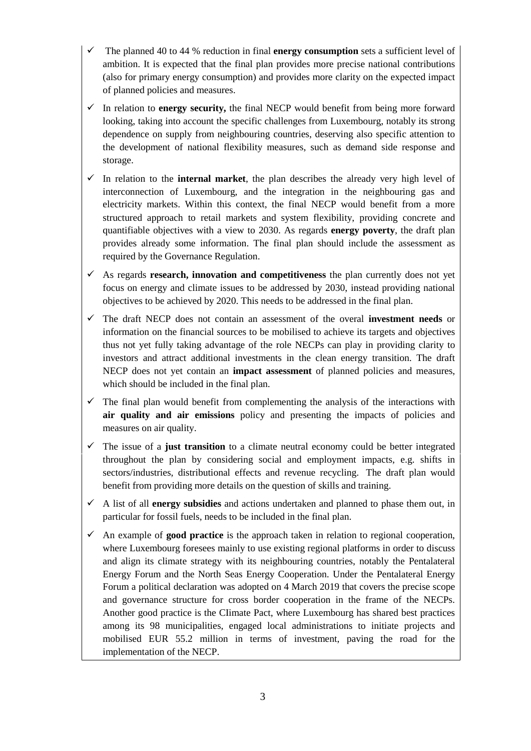- The planned 40 to 44 % reduction in final **energy consumption** sets a sufficient level of ambition. It is expected that the final plan provides more precise national contributions (also for primary energy consumption) and provides more clarity on the expected impact of planned policies and measures.
- $\checkmark$  In relation to **energy security,** the final NECP would benefit from being more forward looking, taking into account the specific challenges from Luxembourg, notably its strong dependence on supply from neighbouring countries, deserving also specific attention to the development of national flexibility measures, such as demand side response and storage.
- $\checkmark$  In relation to the **internal market**, the plan describes the already very high level of interconnection of Luxembourg, and the integration in the neighbouring gas and electricity markets. Within this context, the final NECP would benefit from a more structured approach to retail markets and system flexibility, providing concrete and quantifiable objectives with a view to 2030. As regards **energy poverty**, the draft plan provides already some information. The final plan should include the assessment as required by the Governance Regulation.
- $\checkmark$  As regards **research, innovation and competitiveness** the plan currently does not yet focus on energy and climate issues to be addressed by 2030, instead providing national objectives to be achieved by 2020. This needs to be addressed in the final plan.
- The draft NECP does not contain an assessment of the overal **investment needs** or information on the financial sources to be mobilised to achieve its targets and objectives thus not yet fully taking advantage of the role NECPs can play in providing clarity to investors and attract additional investments in the clean energy transition. The draft NECP does not yet contain an **impact assessment** of planned policies and measures, which should be included in the final plan.
- $\checkmark$  The final plan would benefit from complementing the analysis of the interactions with **air quality and air emissions** policy and presenting the impacts of policies and measures on air quality.
- $\checkmark$  The issue of a **just transition** to a climate neutral economy could be better integrated throughout the plan by considering social and employment impacts, e.g. shifts in sectors/industries, distributional effects and revenue recycling. The draft plan would benefit from providing more details on the question of skills and training.
- A list of all **energy subsidies** and actions undertaken and planned to phase them out, in particular for fossil fuels, needs to be included in the final plan.
- $\checkmark$  An example of **good practice** is the approach taken in relation to regional cooperation, where Luxembourg foresees mainly to use existing regional platforms in order to discuss and align its climate strategy with its neighbouring countries, notably the Pentalateral Energy Forum and the North Seas Energy Cooperation. Under the Pentalateral Energy Forum a political declaration was adopted on 4 March 2019 that covers the precise scope and governance structure for cross border cooperation in the frame of the NECPs. Another good practice is the CIimate Pact, where Luxembourg has shared best practices among its 98 municipalities, engaged local administrations to initiate projects and mobilised EUR 55.2 million in terms of investment, paving the road for the implementation of the NECP.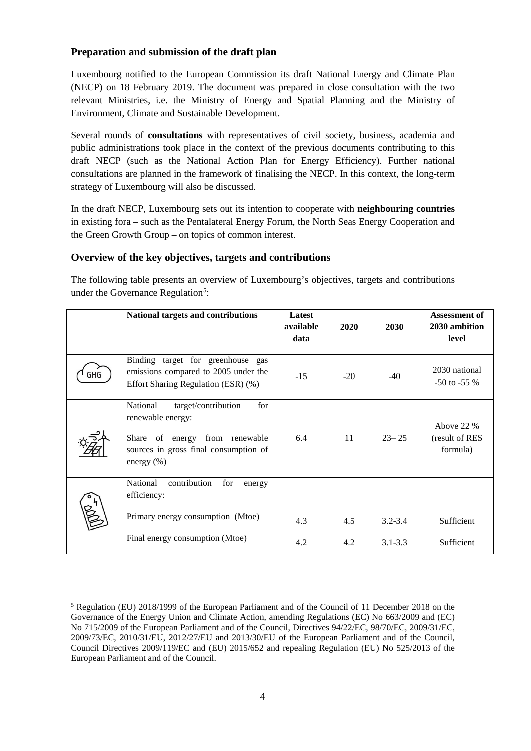## <span id="page-4-0"></span>**Preparation and submission of the draft plan**

Luxembourg notified to the European Commission its draft National Energy and Climate Plan (NECP) on 18 February 2019. The document was prepared in close consultation with the two relevant Ministries, i.e. the Ministry of Energy and Spatial Planning and the Ministry of Environment, Climate and Sustainable Development.

Several rounds of **consultations** with representatives of civil society, business, academia and public administrations took place in the context of the previous documents contributing to this draft NECP (such as the National Action Plan for Energy Efficiency). Further national consultations are planned in the framework of finalising the NECP. In this context, the long-term strategy of Luxembourg will also be discussed.

In the draft NECP, Luxembourg sets out its intention to cooperate with **neighbouring countries** in existing fora – such as the Pentalateral Energy Forum, the North Seas Energy Cooperation and the Green Growth Group – on topics of common interest.

#### <span id="page-4-1"></span>**Overview of the key objectives, targets and contributions**

The following table presents an overview of Luxembourg's objectives, targets and contributions under the Governance Regulation<sup>[5](#page-4-2)</sup>:

|     | National targets and contributions                                                                                                                       | Latest<br>available<br>data | 2020  | 2030        | Assessment of<br>2030 ambition<br>level  |
|-----|----------------------------------------------------------------------------------------------------------------------------------------------------------|-----------------------------|-------|-------------|------------------------------------------|
| GHG | Binding target for greenhouse gas<br>emissions compared to 2005 under the<br>Effort Sharing Regulation (ESR) (%)                                         | $-15$                       | $-20$ | $-40$       | 2030 national<br>$-50$ to $-55%$         |
|     | National<br>target/contribution<br>for<br>renewable energy:<br>Share of energy from renewable<br>sources in gross final consumption of<br>energy $(\% )$ | 6.4                         | 11    | $23 - 25$   | Above 22 %<br>(result of RES<br>formula) |
|     | contribution<br>National<br>for<br>energy<br>efficiency:                                                                                                 |                             |       |             |                                          |
|     | Primary energy consumption (Mtoe)                                                                                                                        | 4.3                         | 4.5   | $3.2 - 3.4$ | Sufficient                               |
|     | Final energy consumption (Mtoe)                                                                                                                          | 4.2                         | 4.2   | $3.1 - 3.3$ | Sufficient                               |

<span id="page-4-2"></span> $\ddot{\phantom{a}}$ <sup>5</sup> Regulation (EU) 2018/1999 of the European Parliament and of the Council of 11 December 2018 on the Governance of the Energy Union and Climate Action, amending Regulations (EC) No 663/2009 and (EC) No 715/2009 of the European Parliament and of the Council, Directives 94/22/EC, 98/70/EC, 2009/31/EC, 2009/73/EC, 2010/31/EU, 2012/27/EU and 2013/30/EU of the European Parliament and of the Council, Council Directives 2009/119/EC and (EU) 2015/652 and repealing Regulation (EU) No 525/2013 of the European Parliament and of the Council.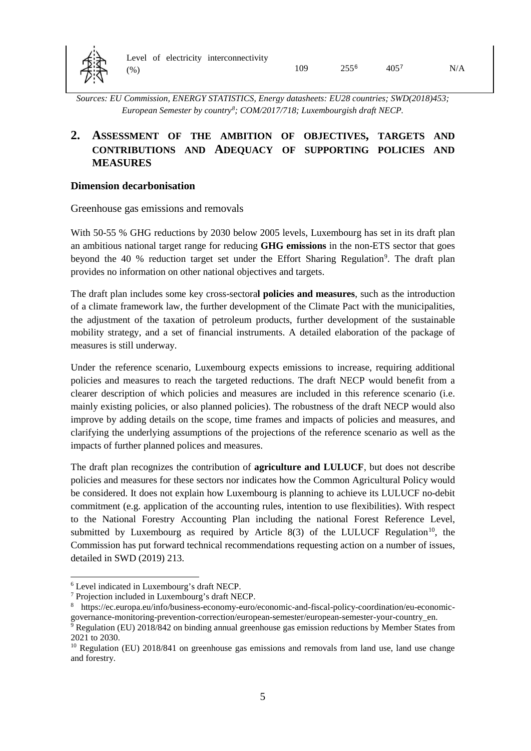

*Sources: EU Commission, ENERGY STATISTICS, Energy datasheets: EU28 countries; SWD(2018)453; European Semester by country[8](#page-5-5) ; COM/2017/718; Luxembourgish draft NECP.*

# <span id="page-5-0"></span>**2. ASSESSMENT OF THE AMBITION OF OBJECTIVES, TARGETS AND CONTRIBUTIONS AND ADEQUACY OF SUPPORTING POLICIES AND MEASURES**

#### <span id="page-5-1"></span>**Dimension decarbonisation**

<span id="page-5-2"></span>Greenhouse gas emissions and removals

With 50-55 % GHG reductions by 2030 below 2005 levels, Luxembourg has set in its draft plan an ambitious national target range for reducing **GHG emissions** in the non-ETS sector that goes beyond the 40 % reduction target set under the Effort Sharing Regulation<sup>[9](#page-5-6)</sup>. The draft plan provides no information on other national objectives and targets.

The draft plan includes some key cross-sectora**l policies and measures**, such as the introduction of a climate framework law, the further development of the Climate Pact with the municipalities, the adjustment of the taxation of petroleum products, further development of the sustainable mobility strategy, and a set of financial instruments. A detailed elaboration of the package of measures is still underway.

Under the reference scenario, Luxembourg expects emissions to increase, requiring additional policies and measures to reach the targeted reductions. The draft NECP would benefit from a clearer description of which policies and measures are included in this reference scenario (i.e. mainly existing policies, or also planned policies). The robustness of the draft NECP would also improve by adding details on the scope, time frames and impacts of policies and measures, and clarifying the underlying assumptions of the projections of the reference scenario as well as the impacts of further planned polices and measures.

The draft plan recognizes the contribution of **agriculture and LULUCF**, but does not describe policies and measures for these sectors nor indicates how the Common Agricultural Policy would be considered. It does not explain how Luxembourg is planning to achieve its LULUCF no-debit commitment (e.g. application of the accounting rules, intention to use flexibilities). With respect to the National Forestry Accounting Plan including the national Forest Reference Level, submitted by Luxembourg as required by Article 8(3) of the LULUCF Regulation<sup>10</sup>, the Commission has put forward technical recommendations requesting action on a number of issues, detailed in SWD (2019) 213.

 $\overline{a}$ <sup>6</sup> Level indicated in Luxembourg's draft NECP.

<span id="page-5-4"></span><span id="page-5-3"></span><sup>7</sup> Projection included in Luxembourg's draft NECP.

<span id="page-5-5"></span><sup>8</sup> https://ec.europa.eu/info/business-economy-euro/economic-and-fiscal-policy-coordination/eu-economicgovernance-monitoring-prevention-correction/european-semester/european-semester-your-country\_en.

<span id="page-5-6"></span><sup>&</sup>lt;sup>9</sup> Regulation (EU) 2018/842 on binding annual greenhouse gas emission reductions by Member States from 2021 to 2030.

<span id="page-5-7"></span><sup>&</sup>lt;sup>10</sup> Regulation (EU) 2018/841 on greenhouse gas emissions and removals from land use, land use change and forestry.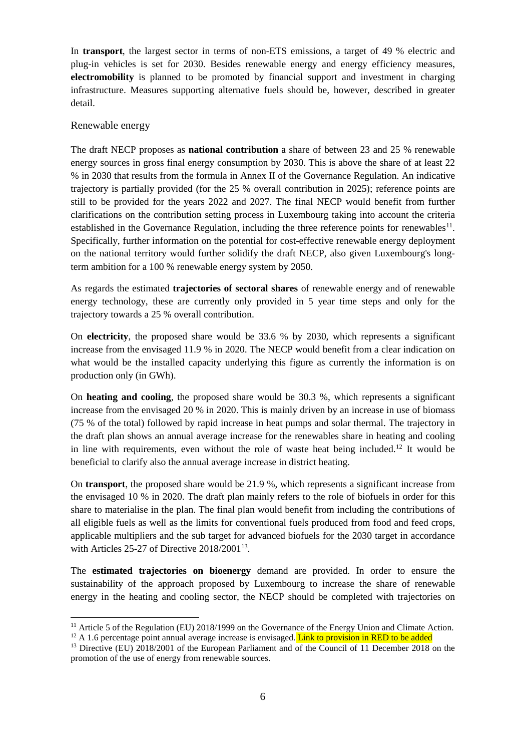In **transport**, the largest sector in terms of non-ETS emissions, a target of 49 % electric and plug-in vehicles is set for 2030. Besides renewable energy and energy efficiency measures, **electromobility** is planned to be promoted by financial support and investment in charging infrastructure. Measures supporting alternative fuels should be, however, described in greater detail.

#### <span id="page-6-0"></span>Renewable energy

 $\overline{a}$ 

The draft NECP proposes as **national contribution** a share of between 23 and 25 % renewable energy sources in gross final energy consumption by 2030. This is above the share of at least 22 % in 2030 that results from the formula in Annex II of the Governance Regulation. An indicative trajectory is partially provided (for the 25 % overall contribution in 2025); reference points are still to be provided for the years 2022 and 2027. The final NECP would benefit from further clarifications on the contribution setting process in Luxembourg taking into account the criteria established in the Governance Regulation, including the three reference points for renewables<sup>[11](#page-6-1)</sup>. Specifically, further information on the potential for cost-effective renewable energy deployment on the national territory would further solidify the draft NECP, also given Luxembourg's longterm ambition for a 100 % renewable energy system by 2050.

As regards the estimated **trajectories of sectoral shares** of renewable energy and of renewable energy technology, these are currently only provided in 5 year time steps and only for the trajectory towards a 25 % overall contribution.

On **electricity**, the proposed share would be 33.6 % by 2030, which represents a significant increase from the envisaged 11.9 % in 2020. The NECP would benefit from a clear indication on what would be the installed capacity underlying this figure as currently the information is on production only (in GWh).

On **heating and cooling**, the proposed share would be 30.3 %, which represents a significant increase from the envisaged 20 % in 2020. This is mainly driven by an increase in use of biomass (75 % of the total) followed by rapid increase in heat pumps and solar thermal. The trajectory in the draft plan shows an annual average increase for the renewables share in heating and cooling in line with requirements, even without the role of waste heat being included.<sup>[12](#page-6-2)</sup> It would be beneficial to clarify also the annual average increase in district heating.

On **transport**, the proposed share would be 21.9 %, which represents a significant increase from the envisaged 10 % in 2020. The draft plan mainly refers to the role of biofuels in order for this share to materialise in the plan. The final plan would benefit from including the contributions of all eligible fuels as well as the limits for conventional fuels produced from food and feed crops, applicable multipliers and the sub target for advanced biofuels for the 2030 target in accordance with Articles 25-27 of Directive 2018/2001<sup>13</sup>.

The **estimated trajectories on bioenergy** demand are provided. In order to ensure the sustainability of the approach proposed by Luxembourg to increase the share of renewable energy in the heating and cooling sector, the NECP should be completed with trajectories on

<span id="page-6-1"></span><sup>&</sup>lt;sup>11</sup> Article 5 of the Regulation (EU) 2018/1999 on the Governance of the Energy Union and Climate Action.

<span id="page-6-2"></span> $12$  A 1.6 percentage point annual average increase is envisaged. Link to provision in RED to be added

<span id="page-6-3"></span><sup>&</sup>lt;sup>13</sup> Directive (EU) 2018/2001 of the European Parliament and of the Council of 11 December 2018 on the promotion of the use of energy from renewable sources.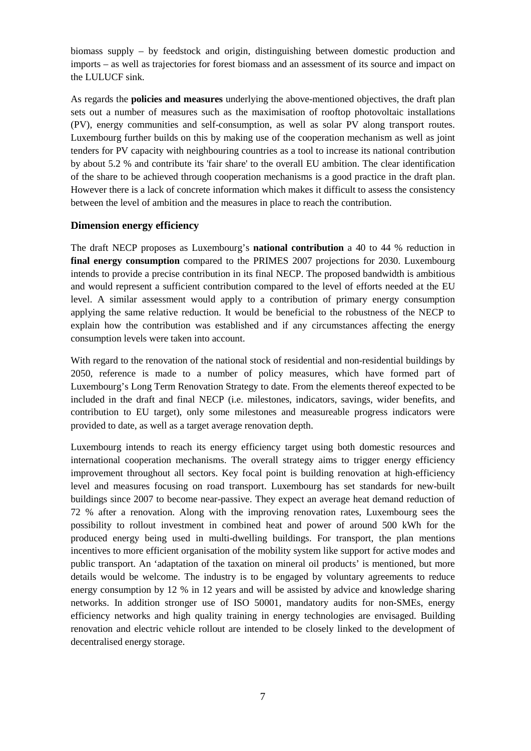biomass supply – by feedstock and origin, distinguishing between domestic production and imports – as well as trajectories for forest biomass and an assessment of its source and impact on the LULUCF sink.

As regards the **policies and measures** underlying the above-mentioned objectives, the draft plan sets out a number of measures such as the maximisation of rooftop photovoltaic installations (PV), energy communities and self-consumption, as well as solar PV along transport routes. Luxembourg further builds on this by making use of the cooperation mechanism as well as joint tenders for PV capacity with neighbouring countries as a tool to increase its national contribution by about 5.2 % and contribute its 'fair share' to the overall EU ambition. The clear identification of the share to be achieved through cooperation mechanisms is a good practice in the draft plan. However there is a lack of concrete information which makes it difficult to assess the consistency between the level of ambition and the measures in place to reach the contribution.

#### <span id="page-7-0"></span>**Dimension energy efficiency**

The draft NECP proposes as Luxembourg's **national contribution** a 40 to 44 % reduction in **final energy consumption** compared to the PRIMES 2007 projections for 2030. Luxembourg intends to provide a precise contribution in its final NECP. The proposed bandwidth is ambitious and would represent a sufficient contribution compared to the level of efforts needed at the EU level. A similar assessment would apply to a contribution of primary energy consumption applying the same relative reduction. It would be beneficial to the robustness of the NECP to explain how the contribution was established and if any circumstances affecting the energy consumption levels were taken into account.

With regard to the renovation of the national stock of residential and non-residential buildings by 2050, reference is made to a number of policy measures, which have formed part of Luxembourg's Long Term Renovation Strategy to date. From the elements thereof expected to be included in the draft and final NECP (i.e. milestones, indicators, savings, wider benefits, and contribution to EU target), only some milestones and measureable progress indicators were provided to date, as well as a target average renovation depth.

Luxembourg intends to reach its energy efficiency target using both domestic resources and international cooperation mechanisms. The overall strategy aims to trigger energy efficiency improvement throughout all sectors. Key focal point is building renovation at high-efficiency level and measures focusing on road transport. Luxembourg has set standards for new-built buildings since 2007 to become near-passive. They expect an average heat demand reduction of 72 % after a renovation. Along with the improving renovation rates, Luxembourg sees the possibility to rollout investment in combined heat and power of around 500 kWh for the produced energy being used in multi-dwelling buildings. For transport, the plan mentions incentives to more efficient organisation of the mobility system like support for active modes and public transport. An 'adaptation of the taxation on mineral oil products' is mentioned, but more details would be welcome. The industry is to be engaged by voluntary agreements to reduce energy consumption by 12 % in 12 years and will be assisted by advice and knowledge sharing networks. In addition stronger use of ISO 50001, mandatory audits for non-SMEs, energy efficiency networks and high quality training in energy technologies are envisaged. Building renovation and electric vehicle rollout are intended to be closely linked to the development of decentralised energy storage.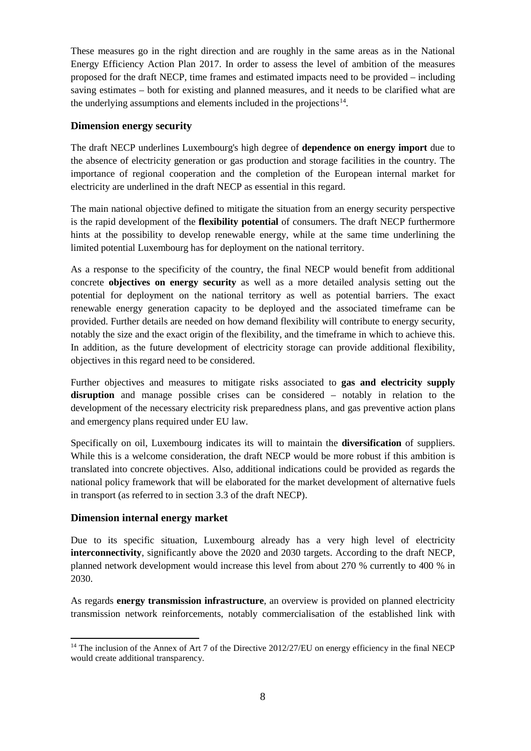These measures go in the right direction and are roughly in the same areas as in the National Energy Efficiency Action Plan 2017. In order to assess the level of ambition of the measures proposed for the draft NECP, time frames and estimated impacts need to be provided – including saving estimates – both for existing and planned measures, and it needs to be clarified what are the underlying assumptions and elements included in the projections<sup>14</sup>.

#### <span id="page-8-0"></span>**Dimension energy security**

The draft NECP underlines Luxembourg's high degree of **dependence on energy import** due to the absence of electricity generation or gas production and storage facilities in the country. The importance of regional cooperation and the completion of the European internal market for electricity are underlined in the draft NECP as essential in this regard.

The main national objective defined to mitigate the situation from an energy security perspective is the rapid development of the **flexibility potential** of consumers. The draft NECP furthermore hints at the possibility to develop renewable energy, while at the same time underlining the limited potential Luxembourg has for deployment on the national territory.

As a response to the specificity of the country, the final NECP would benefit from additional concrete **objectives on energy security** as well as a more detailed analysis setting out the potential for deployment on the national territory as well as potential barriers. The exact renewable energy generation capacity to be deployed and the associated timeframe can be provided. Further details are needed on how demand flexibility will contribute to energy security, notably the size and the exact origin of the flexibility, and the timeframe in which to achieve this. In addition, as the future development of electricity storage can provide additional flexibility, objectives in this regard need to be considered.

Further objectives and measures to mitigate risks associated to **gas and electricity supply disruption** and manage possible crises can be considered – notably in relation to the development of the necessary electricity risk preparedness plans, and gas preventive action plans and emergency plans required under EU law.

Specifically on oil, Luxembourg indicates its will to maintain the **diversification** of suppliers. While this is a welcome consideration, the draft NECP would be more robust if this ambition is translated into concrete objectives. Also, additional indications could be provided as regards the national policy framework that will be elaborated for the market development of alternative fuels in transport (as referred to in section 3.3 of the draft NECP).

#### <span id="page-8-1"></span>**Dimension internal energy market**

Due to its specific situation, Luxembourg already has a very high level of electricity **interconnectivity**, significantly above the 2020 and 2030 targets. According to the draft NECP, planned network development would increase this level from about 270 % currently to 400 % in 2030.

As regards **energy transmission infrastructure**, an overview is provided on planned electricity transmission network reinforcements, notably commercialisation of the established link with

<span id="page-8-2"></span> $\overline{a}$ <sup>14</sup> The inclusion of the Annex of Art 7 of the Directive 2012/27/EU on energy efficiency in the final NECP would create additional transparency.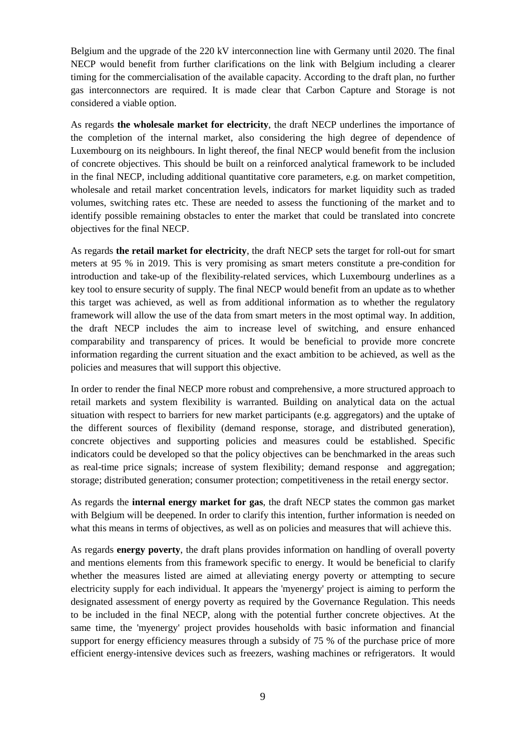Belgium and the upgrade of the 220 kV interconnection line with Germany until 2020. The final NECP would benefit from further clarifications on the link with Belgium including a clearer timing for the commercialisation of the available capacity. According to the draft plan, no further gas interconnectors are required. It is made clear that Carbon Capture and Storage is not considered a viable option.

As regards **the wholesale market for electricity**, the draft NECP underlines the importance of the completion of the internal market, also considering the high degree of dependence of Luxembourg on its neighbours. In light thereof, the final NECP would benefit from the inclusion of concrete objectives. This should be built on a reinforced analytical framework to be included in the final NECP, including additional quantitative core parameters, e.g. on market competition, wholesale and retail market concentration levels, indicators for market liquidity such as traded volumes, switching rates etc. These are needed to assess the functioning of the market and to identify possible remaining obstacles to enter the market that could be translated into concrete objectives for the final NECP.

As regards **the retail market for electricity**, the draft NECP sets the target for roll-out for smart meters at 95 % in 2019. This is very promising as smart meters constitute a pre-condition for introduction and take-up of the flexibility-related services, which Luxembourg underlines as a key tool to ensure security of supply. The final NECP would benefit from an update as to whether this target was achieved, as well as from additional information as to whether the regulatory framework will allow the use of the data from smart meters in the most optimal way. In addition, the draft NECP includes the aim to increase level of switching, and ensure enhanced comparability and transparency of prices. It would be beneficial to provide more concrete information regarding the current situation and the exact ambition to be achieved, as well as the policies and measures that will support this objective.

In order to render the final NECP more robust and comprehensive, a more structured approach to retail markets and system flexibility is warranted. Building on analytical data on the actual situation with respect to barriers for new market participants (e.g. aggregators) and the uptake of the different sources of flexibility (demand response, storage, and distributed generation), concrete objectives and supporting policies and measures could be established. Specific indicators could be developed so that the policy objectives can be benchmarked in the areas such as real-time price signals; increase of system flexibility; demand response and aggregation; storage; distributed generation; consumer protection; competitiveness in the retail energy sector.

As regards the **internal energy market for gas**, the draft NECP states the common gas market with Belgium will be deepened. In order to clarify this intention, further information is needed on what this means in terms of objectives, as well as on policies and measures that will achieve this.

As regards **energy poverty**, the draft plans provides information on handling of overall poverty and mentions elements from this framework specific to energy. It would be beneficial to clarify whether the measures listed are aimed at alleviating energy poverty or attempting to secure electricity supply for each individual. It appears the 'myenergy' project is aiming to perform the designated assessment of energy poverty as required by the Governance Regulation. This needs to be included in the final NECP, along with the potential further concrete objectives. At the same time, the 'myenergy' project provides households with basic information and financial support for energy efficiency measures through a subsidy of 75 % of the purchase price of more efficient energy-intensive devices such as freezers, washing machines or refrigerators. It would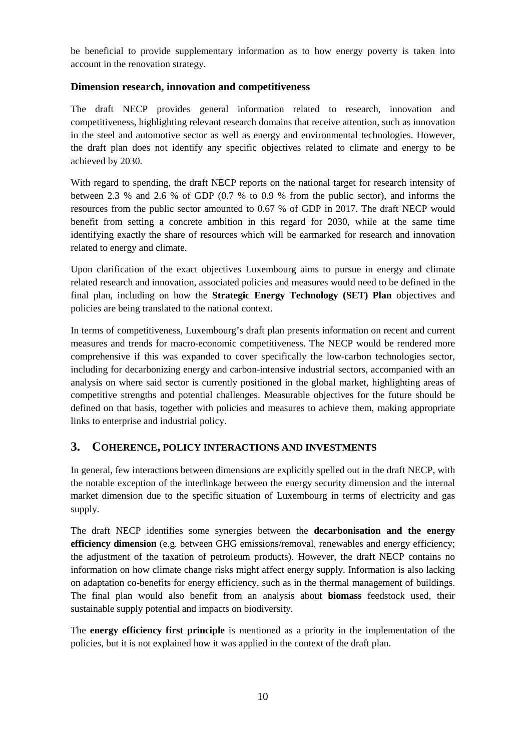be beneficial to provide supplementary information as to how energy poverty is taken into account in the renovation strategy.

#### <span id="page-10-0"></span>**Dimension research, innovation and competitiveness**

The draft NECP provides general information related to research, innovation and competitiveness, highlighting relevant research domains that receive attention, such as innovation in the steel and automotive sector as well as energy and environmental technologies. However, the draft plan does not identify any specific objectives related to climate and energy to be achieved by 2030.

With regard to spending, the draft NECP reports on the national target for research intensity of between 2.3 % and 2.6 % of GDP (0.7 % to 0.9 % from the public sector), and informs the resources from the public sector amounted to 0.67 % of GDP in 2017. The draft NECP would benefit from setting a concrete ambition in this regard for 2030, while at the same time identifying exactly the share of resources which will be earmarked for research and innovation related to energy and climate.

Upon clarification of the exact objectives Luxembourg aims to pursue in energy and climate related research and innovation, associated policies and measures would need to be defined in the final plan, including on how the **Strategic Energy Technology (SET) Plan** objectives and policies are being translated to the national context.

In terms of competitiveness, Luxembourg's draft plan presents information on recent and current measures and trends for macro-economic competitiveness. The NECP would be rendered more comprehensive if this was expanded to cover specifically the low-carbon technologies sector, including for decarbonizing energy and carbon-intensive industrial sectors, accompanied with an analysis on where said sector is currently positioned in the global market, highlighting areas of competitive strengths and potential challenges. Measurable objectives for the future should be defined on that basis, together with policies and measures to achieve them, making appropriate links to enterprise and industrial policy.

# <span id="page-10-1"></span>**3. COHERENCE, POLICY INTERACTIONS AND INVESTMENTS**

In general, few interactions between dimensions are explicitly spelled out in the draft NECP, with the notable exception of the interlinkage between the energy security dimension and the internal market dimension due to the specific situation of Luxembourg in terms of electricity and gas supply.

The draft NECP identifies some synergies between the **decarbonisation and the energy efficiency dimension** (e.g. between GHG emissions/removal, renewables and energy efficiency; the adjustment of the taxation of petroleum products). However, the draft NECP contains no information on how climate change risks might affect energy supply. Information is also lacking on adaptation co-benefits for energy efficiency, such as in the thermal management of buildings. The final plan would also benefit from an analysis about **biomass** feedstock used, their sustainable supply potential and impacts on biodiversity.

The **energy efficiency first principle** is mentioned as a priority in the implementation of the policies, but it is not explained how it was applied in the context of the draft plan.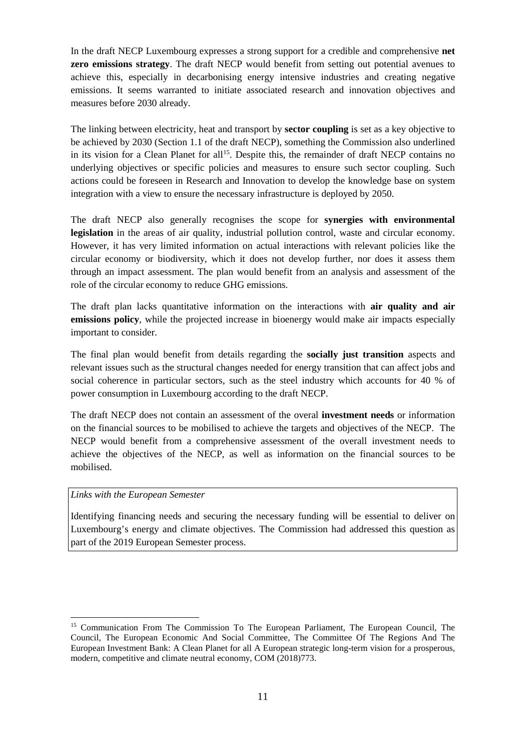In the draft NECP Luxembourg expresses a strong support for a credible and comprehensive **net zero emissions strategy**. The draft NECP would benefit from setting out potential avenues to achieve this, especially in decarbonising energy intensive industries and creating negative emissions. It seems warranted to initiate associated research and innovation objectives and measures before 2030 already.

The linking between electricity, heat and transport by **sector coupling** is set as a key objective to be achieved by 2030 (Section 1.1 of the draft NECP), something the Commission also underlined in its vision for a Clean Planet for all<sup>15</sup>. Despite this, the remainder of draft NECP contains no underlying objectives or specific policies and measures to ensure such sector coupling. Such actions could be foreseen in Research and Innovation to develop the knowledge base on system integration with a view to ensure the necessary infrastructure is deployed by 2050.

The draft NECP also generally recognises the scope for **synergies with environmental legislation** in the areas of air quality, industrial pollution control, waste and circular economy. However, it has very limited information on actual interactions with relevant policies like the circular economy or biodiversity, which it does not develop further, nor does it assess them through an impact assessment. The plan would benefit from an analysis and assessment of the role of the circular economy to reduce GHG emissions.

The draft plan lacks quantitative information on the interactions with **air quality and air emissions policy**, while the projected increase in bioenergy would make air impacts especially important to consider.

The final plan would benefit from details regarding the **socially just transition** aspects and relevant issues such as the structural changes needed for energy transition that can affect jobs and social coherence in particular sectors, such as the steel industry which accounts for 40 % of power consumption in Luxembourg according to the draft NECP.

The draft NECP does not contain an assessment of the overal **investment needs** or information on the financial sources to be mobilised to achieve the targets and objectives of the NECP. The NECP would benefit from a comprehensive assessment of the overall investment needs to achieve the objectives of the NECP, as well as information on the financial sources to be mobilised.

#### *Links with the European Semester*

 $\overline{a}$ 

Identifying financing needs and securing the necessary funding will be essential to deliver on Luxembourg's energy and climate objectives. The Commission had addressed this question as part of the 2019 European Semester process.

<span id="page-11-0"></span><sup>&</sup>lt;sup>15</sup> Communication From The Commission To The European Parliament, The European Council, The Council, The European Economic And Social Committee, The Committee Of The Regions And The European Investment Bank: A Clean Planet for all A European strategic long-term vision for a prosperous, modern, competitive and climate neutral economy, COM (2018)773.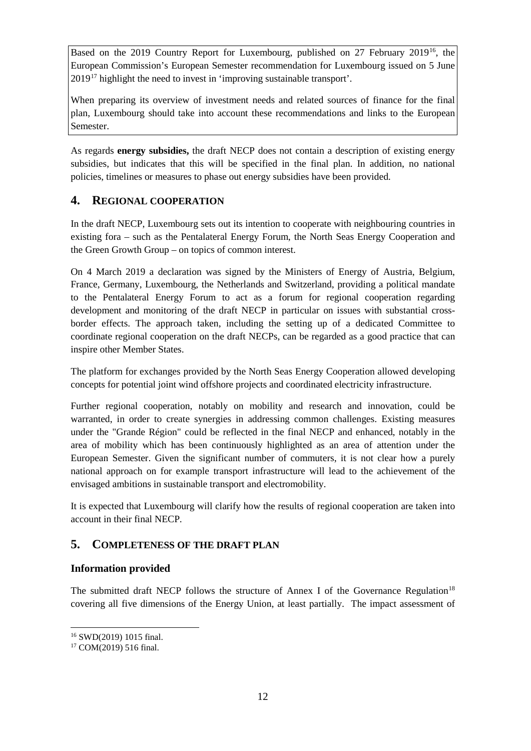Based on the 2019 Country Report for Luxembourg, published on 27 February 2019[16,](#page-12-3) the European Commission's European Semester recommendation for Luxembourg issued on 5 June  $2019<sup>17</sup>$  $2019<sup>17</sup>$  $2019<sup>17</sup>$  highlight the need to invest in 'improving sustainable transport'.

When preparing its overview of investment needs and related sources of finance for the final plan, Luxembourg should take into account these recommendations and links to the European Semester.

As regards **energy subsidies,** the draft NECP does not contain a description of existing energy subsidies, but indicates that this will be specified in the final plan. In addition, no national policies, timelines or measures to phase out energy subsidies have been provided.

# <span id="page-12-0"></span>**4. REGIONAL COOPERATION**

In the draft NECP, Luxembourg sets out its intention to cooperate with neighbouring countries in existing fora – such as the Pentalateral Energy Forum, the North Seas Energy Cooperation and the Green Growth Group – on topics of common interest.

On 4 March 2019 a declaration was signed by the Ministers of Energy of Austria, Belgium, France, Germany, Luxembourg, the Netherlands and Switzerland, providing a political mandate to the Pentalateral Energy Forum to act as a forum for regional cooperation regarding development and monitoring of the draft NECP in particular on issues with substantial crossborder effects. The approach taken, including the setting up of a dedicated Committee to coordinate regional cooperation on the draft NECPs, can be regarded as a good practice that can inspire other Member States.

The platform for exchanges provided by the North Seas Energy Cooperation allowed developing concepts for potential joint wind offshore projects and coordinated electricity infrastructure.

Further regional cooperation, notably on mobility and research and innovation, could be warranted, in order to create synergies in addressing common challenges. Existing measures under the "Grande Région" could be reflected in the final NECP and enhanced, notably in the area of mobility which has been continuously highlighted as an area of attention under the European Semester. Given the significant number of commuters, it is not clear how a purely national approach on for example transport infrastructure will lead to the achievement of the envisaged ambitions in sustainable transport and electromobility.

It is expected that Luxembourg will clarify how the results of regional cooperation are taken into account in their final NECP.

# <span id="page-12-1"></span>**5. COMPLETENESS OF THE DRAFT PLAN**

## <span id="page-12-2"></span>**Information provided**

The submitted draft NECP follows the structure of Annex I of the Governance Regulation<sup>[18](#page-12-5)</sup> covering all five dimensions of the Energy Union, at least partially. The impact assessment of

<span id="page-12-5"></span><span id="page-12-3"></span> $\overline{a}$ <sup>16</sup> SWD(2019) 1015 final.

<span id="page-12-4"></span><sup>17</sup> COM(2019) 516 final.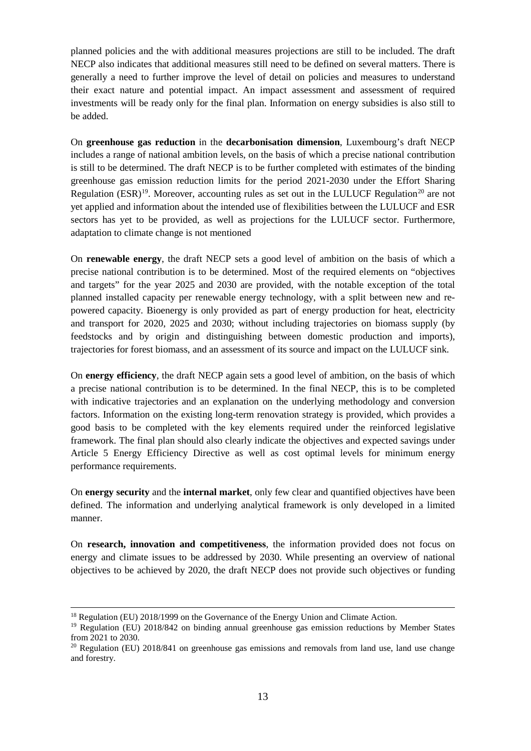planned policies and the with additional measures projections are still to be included. The draft NECP also indicates that additional measures still need to be defined on several matters. There is generally a need to further improve the level of detail on policies and measures to understand their exact nature and potential impact. An impact assessment and assessment of required investments will be ready only for the final plan. Information on energy subsidies is also still to be added.

On **greenhouse gas reduction** in the **decarbonisation dimension**, Luxembourg's draft NECP includes a range of national ambition levels, on the basis of which a precise national contribution is still to be determined. The draft NECP is to be further completed with estimates of the binding greenhouse gas emission reduction limits for the period 2021-2030 under the Effort Sharing Regulation  $(ESR)^{19}$  $(ESR)^{19}$  $(ESR)^{19}$ . Moreover, accounting rules as set out in the LULUCF Regulation<sup>[20](#page-13-1)</sup> are not yet applied and information about the intended use of flexibilities between the LULUCF and ESR sectors has yet to be provided, as well as projections for the LULUCF sector. Furthermore, adaptation to climate change is not mentioned

On **renewable energy**, the draft NECP sets a good level of ambition on the basis of which a precise national contribution is to be determined. Most of the required elements on "objectives and targets" for the year 2025 and 2030 are provided, with the notable exception of the total planned installed capacity per renewable energy technology, with a split between new and repowered capacity. Bioenergy is only provided as part of energy production for heat, electricity and transport for 2020, 2025 and 2030; without including trajectories on biomass supply (by feedstocks and by origin and distinguishing between domestic production and imports), trajectories for forest biomass, and an assessment of its source and impact on the LULUCF sink.

On **energy efficiency**, the draft NECP again sets a good level of ambition, on the basis of which a precise national contribution is to be determined. In the final NECP, this is to be completed with indicative trajectories and an explanation on the underlying methodology and conversion factors. Information on the existing long-term renovation strategy is provided, which provides a good basis to be completed with the key elements required under the reinforced legislative framework. The final plan should also clearly indicate the objectives and expected savings under Article 5 Energy Efficiency Directive as well as cost optimal levels for minimum energy performance requirements.

On **energy security** and the **internal market**, only few clear and quantified objectives have been defined. The information and underlying analytical framework is only developed in a limited manner.

On **research, innovation and competitiveness**, the information provided does not focus on energy and climate issues to be addressed by 2030. While presenting an overview of national objectives to be achieved by 2020, the draft NECP does not provide such objectives or funding

 $\overline{a}$ 

<sup>&</sup>lt;sup>18</sup> Regulation (EU) 2018/1999 on the Governance of the Energy Union and Climate Action.

<span id="page-13-0"></span><sup>&</sup>lt;sup>19</sup> Regulation (EU) 2018/842 on binding annual greenhouse gas emission reductions by Member States from 2021 to 2030.

<span id="page-13-1"></span> $20$  Regulation (EU) 2018/841 on greenhouse gas emissions and removals from land use, land use change and forestry.